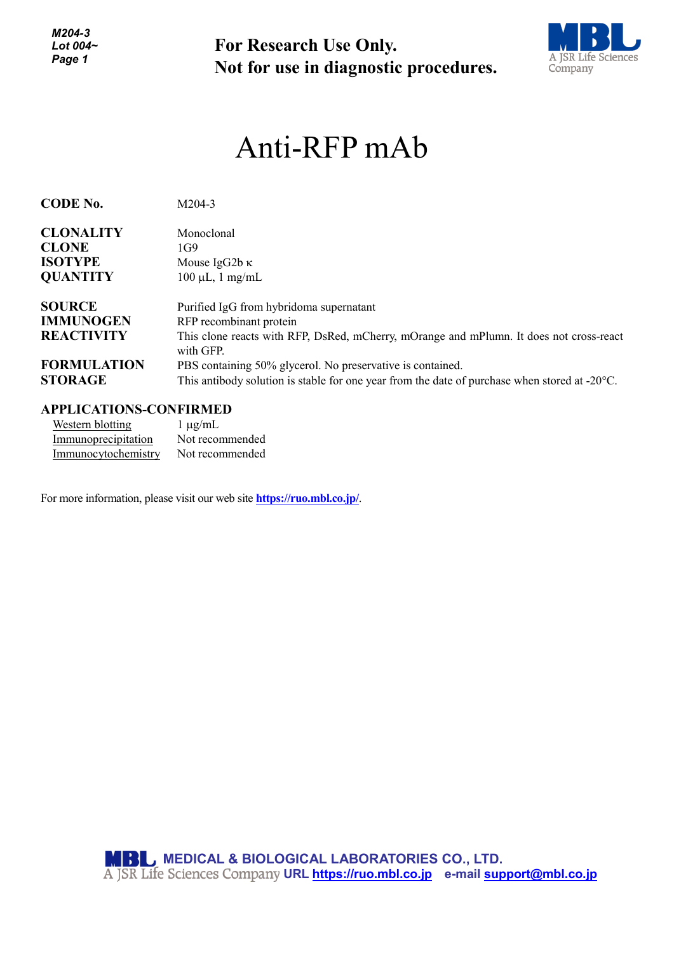*M204-3 Lot 004~ Page 1*

**For Research Use Only. Not for use in diagnostic procedures.**



## Anti-RFP mAb

| <b>CODE No.</b>    | $M204-3$                                                                                                |
|--------------------|---------------------------------------------------------------------------------------------------------|
| <b>CLONALITY</b>   | Monoclonal                                                                                              |
| <b>CLONE</b>       | 1G9                                                                                                     |
| <b>ISOTYPE</b>     | Mouse IgG2b $\kappa$                                                                                    |
| <b>QUANTITY</b>    | $100 \mu L$ , 1 mg/mL                                                                                   |
| <b>SOURCE</b>      | Purified IgG from hybridoma supernatant                                                                 |
| <b>IMMUNOGEN</b>   | RFP recombinant protein                                                                                 |
| <b>REACTIVITY</b>  | This clone reacts with RFP, DsRed, mCherry, mOrange and mPlumn. It does not cross-react<br>with GFP.    |
| <b>FORMULATION</b> | PBS containing 50% glycerol. No preservative is contained.                                              |
| <b>STORAGE</b>     | This antibody solution is stable for one year from the date of purchase when stored at $-20^{\circ}$ C. |

## **APPLICATIONS-CONFIRMED**

| Western blotting    | $1 \mu g/mL$    |
|---------------------|-----------------|
| Immunoprecipitation | Not recommended |
| Immunocytochemistry | Not recommended |

For more information, please visit our web site **https://ruo.mbl.co.jp/**.